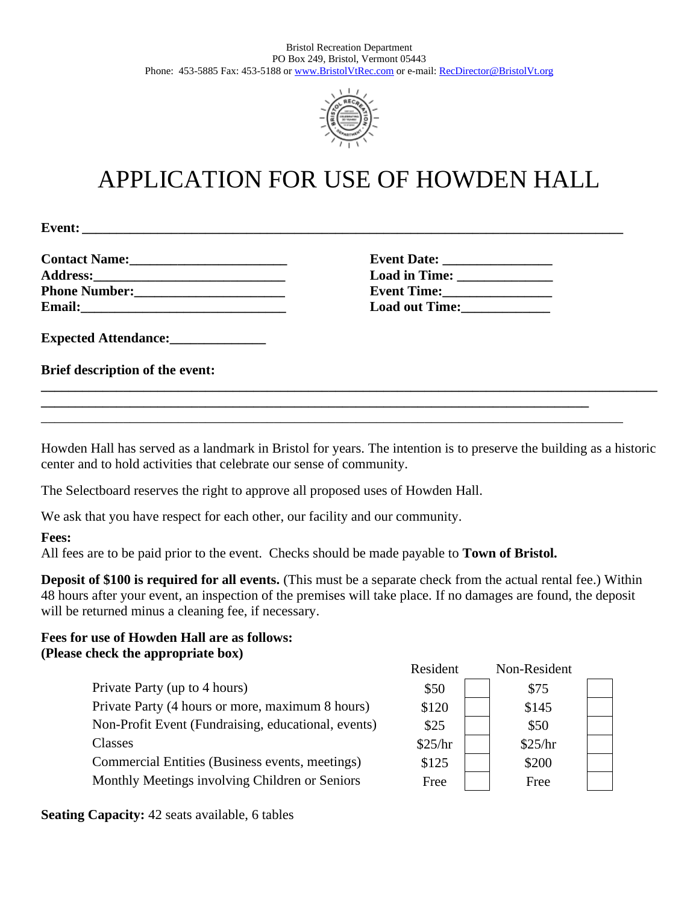

# APPLICATION FOR USE OF HOWDEN HALL

**Event: \_\_\_\_\_\_\_\_\_\_\_\_\_\_\_\_\_\_\_\_\_\_\_\_\_\_\_\_\_\_\_\_\_\_\_\_\_\_\_\_\_\_\_\_\_\_\_\_\_\_\_\_\_\_\_\_\_\_\_\_\_\_\_\_\_\_\_\_\_\_\_\_\_\_\_\_\_\_\_**

| <b>Contact Name:</b>                                                                                                                                                                                                           |  |
|--------------------------------------------------------------------------------------------------------------------------------------------------------------------------------------------------------------------------------|--|
| Address: the contract of the contract of the contract of the contract of the contract of the contract of the contract of the contract of the contract of the contract of the contract of the contract of the contract of the c |  |
| <b>Phone Number:</b>                                                                                                                                                                                                           |  |
| <b>Email:</b>                                                                                                                                                                                                                  |  |

**Contact Name:\_\_\_\_\_\_\_\_\_\_\_\_\_\_\_\_\_\_\_\_\_\_\_ Event Date: \_\_\_\_\_\_\_\_\_\_\_\_\_\_\_\_ Address:\_\_\_\_\_\_\_\_\_\_\_\_\_\_\_\_\_\_\_\_\_\_\_\_\_\_\_\_ Load in Time: \_\_\_\_\_\_\_\_\_\_\_\_\_\_ Phone Number: Phone: Phone: Phone: Phone: Phone: Phone: Phone: Phone: Phone: Phone: Phone: Phone: Phone: Phone: Phone: Phone: Phone: Phone: Phone: Phone: Phone: Phone: Phone: Load out Time:** 

**Expected Attendance:\_\_\_\_\_\_\_\_\_\_\_\_\_\_**

**Brief description of the event:**

Howden Hall has served as a landmark in Bristol for years. The intention is to preserve the building as a historic center and to hold activities that celebrate our sense of community.

**\_\_\_\_\_\_\_\_\_\_\_\_\_\_\_\_\_\_\_\_\_\_\_\_\_\_\_\_\_\_\_\_\_\_\_\_\_\_\_\_\_\_\_\_\_\_\_\_\_\_\_\_\_\_\_\_\_\_\_\_\_\_\_\_\_\_\_\_\_\_\_\_\_\_\_\_\_\_\_\_\_\_\_\_\_\_\_\_\_\_**

**\_\_\_\_\_\_\_\_\_\_\_\_\_\_\_\_\_\_\_\_\_\_\_\_\_\_\_\_\_\_\_\_\_\_\_\_\_\_\_\_\_\_\_\_\_\_\_\_\_\_\_\_\_\_\_\_\_\_\_\_\_\_\_\_\_\_\_\_\_\_\_\_\_\_\_\_\_\_\_\_**

\_\_\_\_\_\_\_\_\_\_\_\_\_\_\_\_\_\_\_\_\_\_\_\_\_\_\_\_\_\_\_\_\_\_\_\_\_\_\_\_\_\_\_\_\_\_\_\_\_\_\_\_\_\_\_\_\_\_\_\_\_\_\_\_\_\_\_\_\_\_\_\_\_\_\_\_\_\_\_\_\_\_\_\_\_

The Selectboard reserves the right to approve all proposed uses of Howden Hall.

We ask that you have respect for each other, our facility and our community.

**Fees:**

All fees are to be paid prior to the event. Checks should be made payable to **Town of Bristol.**

**Deposit of \$100 is required for all events.** (This must be a separate check from the actual rental fee.) Within 48 hours after your event, an inspection of the premises will take place. If no damages are found, the deposit will be returned minus a cleaning fee, if necessary.

# **Fees for use of Howden Hall are as follows: (Please check the appropriate box)**

| $\sim$ chech the upploplate $\sim$ 0.11/            |          |              |  |
|-----------------------------------------------------|----------|--------------|--|
|                                                     | Resident | Non-Resident |  |
| Private Party (up to 4 hours)                       | \$50     | \$75         |  |
| Private Party (4 hours or more, maximum 8 hours)    | \$120    | \$145        |  |
| Non-Profit Event (Fundraising, educational, events) | \$25     | \$50         |  |
| Classes                                             | \$25/hr  | \$25/hr      |  |
| Commercial Entities (Business events, meetings)     | \$125    | \$200        |  |
| Monthly Meetings involving Children or Seniors      | Free     | Free         |  |
|                                                     |          |              |  |

**Seating Capacity:** 42 seats available, 6 tables